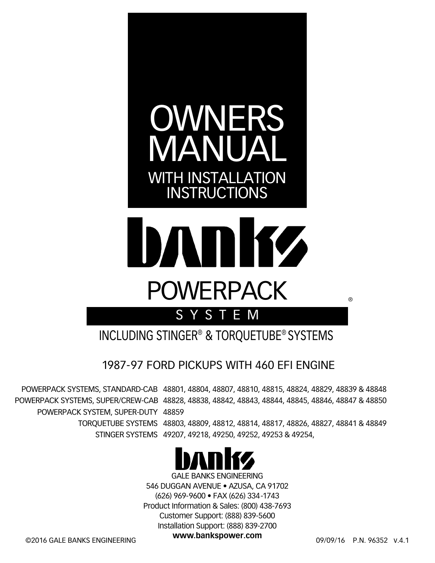



SYSTEM

INCLUDING STINGER® & TORQUETUBE® SYSTEMS

1987-97 FORD PICKUPS WITH 460 EFI ENGINE

POWERPACK SYSTEM, SUPER-DUTY 48859

 POWERPACK SYSTEMS, STANDARD-CAB 48801, 48804, 48807, 48810, 48815, 48824, 48829, 48839 & 48848 POWERPACK SYSTEMS, SUPER/CREW-CAB 48828, 48838, 48842, 48843, 48844, 48845, 48846, 48847 & 48850

> TORQUETUBE SYSTEMS 48803, 48809, 48812, 48814, 48817, 48826, 48827, 48841 & 48849 STINGER SYSTEMS 49207, 49218, 49250, 49252, 49253 & 49254,



GALE BANKS ENGINEERING 546 DUGGAN AVENUE • AZUSA, CA 91702 (626) 969-9600 • FAX (626) 334-1743 Product Information & Sales: (800) 438-7693 Customer Support: (888) 839-5600 Installation Support: (888) 839-2700

**www.bankspower.com** ©2016 GALE BANKS ENGINEERING 09/09/16 P.N. 96352 v.4.1

®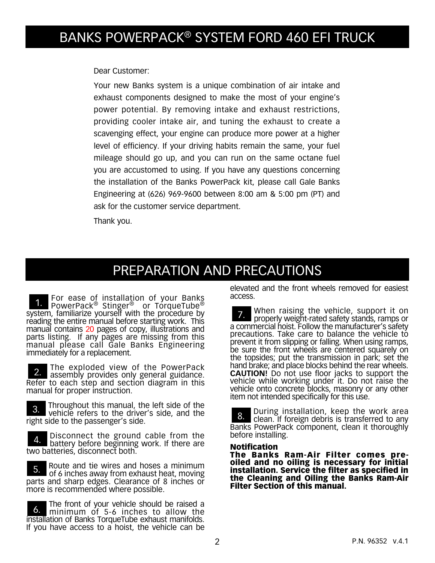Dear Customer:

Your new Banks system is a unique combination of air intake and exhaust components designed to make the most of your engine's power potential. By removing intake and exhaust restrictions, providing cooler intake air, and tuning the exhaust to create a scavenging effect, your engine can produce more power at a higher level of efficiency. If your driving habits remain the same, your fuel mileage should go up, and you can run on the same octane fuel you are accustomed to using. If you have any questions concerning the installation of the Banks PowerPack kit, please call Gale Banks Engineering at (626) 969-9600 between 8:00 am & 5:00 pm (PT) and ask for the customer service department.

Thank you.

## PREPARATION AND PRECAUTIONS

**1.** For ease of installation of your Banks<br>**1.** PowerPack® Stinger® or TorqueTube® system, familiarize yourself with the procedure by reading the entire manual before starting work. This manual contains 20 pages of copy, illustrations and parts listing. If any pages are missing from this manual please call Gale Banks Engineering immediately for a replacement.

The exploded view of the PowerPack assembly provides only general guidance. Refer to each step and section diagram in this manual for proper instruction.

3. Throughout this manual, the left side of the vehicle refers to the driver's side, and the right side to the passenger's side.

4. Disconnect the ground cable from the<br>4. botton before beginning work if there are battery before beginning work. If there are two batteries, disconnect both.

5. Route and tie wires and hoses a minimum<br>of  $\ell$  inshes away from a hours heat, maying of 6 inches away from exhaust heat, moving parts and sharp edges. Clearance of 8 inches or more is recommended where possible.

**6.** The front of your vehicle should be raised a<br>**6.** minimum of 5-6 inches to allow the minimum of 5-6 inches to allow the installation of Banks TorqueTube exhaust manifolds. If you have access to a hoist, the vehicle can be elevated and the front wheels removed for easiest access.

7. When raising the vehicle, support it on properly weight-rated safety stands, ramps or a commercial hoist. Follow the manufacturer's safety precautions. Take care to balance the vehicle to prevent it from slipping or falling. When using ramps, be sure the front wheels are centered squarely on the topsides; put the transmission in park; set the hand brake; and place blocks behind the rear wheels. **CAUTION!** Do not use floor jacks to support the vehicle while working under it. Do not raise the vehicle onto concrete blocks, masonry or any other item not intended specifically for this use.

8. During installation, keep the work area<br>8. Clean If foreign debris is transferred to any clean. If foreign debris is transferred to any Banks PowerPack component, clean it thoroughly before installing.

#### Notification

The Banks Ram-Air Filter comes preoiled and no oiling is necessary for initial installation. Service the filter as specified in the Cleaning and Oiling the Banks Ram-Air Filter Section of this manual.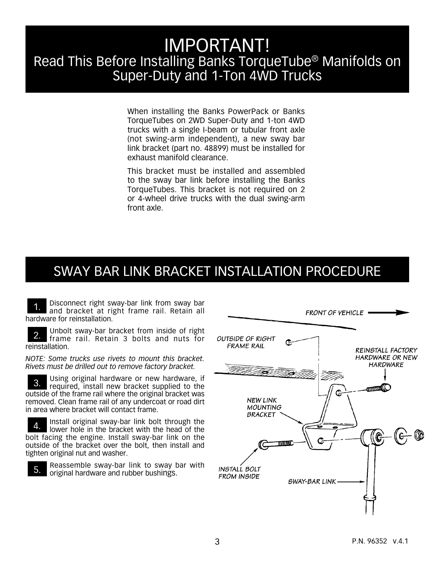## IMPORTANT! Read This Before Installing Banks TorqueTube® Manifolds on Super-Duty and 1-Ton 4WD Trucks

When installing the Banks PowerPack or Banks TorqueTubes on 2WD Super-Duty and 1-ton 4WD trucks with a single I-beam or tubular front axle (not swing-arm independent), a new sway bar link bracket (part no. 48899) must be installed for exhaust manifold clearance.

This bracket must be installed and assembled to the sway bar link before installing the Banks TorqueTubes. This bracket is not required on 2 or 4-wheel drive trucks with the dual swing-arm front axle.

### SWAY BAR LINK BRACKET INSTALLATION PROCEDURE

Disconnect right sway-bar link from sway bar and bracket at right frame rail. Retain all hardware for reinstallation.

2. Unbolt sway-bar bracket from inside of right frame rail. Retain 3 bolts and nuts for reinstallation.

*NOTE: Some trucks use rivets to mount this bracket. Rivets must be drilled out to remove factory bracket.*

Using original hardware or new hardware, if required, install new bracket supplied to the outside of the frame rail where the original bracket was removed. Clean frame rail of any undercoat or road dirt in area where bracket will contact frame.

Install original sway-bar link bolt through the lower hole in the bracket with the head of the bolt facing the engine. Install sway-bar link on the outside of the bracket over the bolt, then install and tighten original nut and washer.



5. Reassemble sway-bar link to sway bar with  $\overline{5}$ . original hardware and rubber bushings.

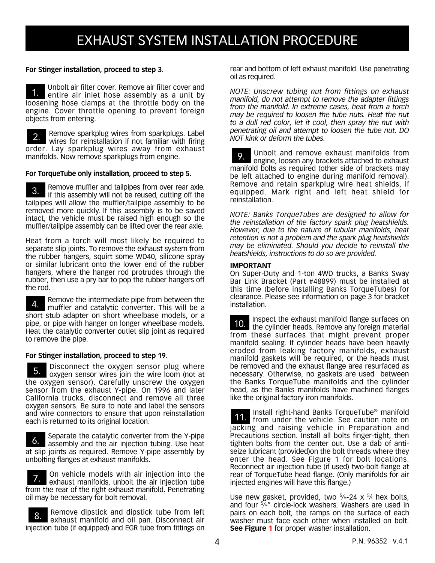## EXHAUST SYSTEM INSTALLATION PROCEDURE

#### **For Stinger installation, proceed to step 3.**

1. Unbolt air filter cover. Remove air filter cover and entire air inlet hose assembly as a unit by loosening hose clamps at the throttle body on the engine. Cover throttle opening to prevent foreign objects from entering.

Remove sparkplug wires from sparkplugs. Label wires for reinstallation if not familiar with firing order. Lay sparkplug wires away from exhaust manifolds. Now remove sparkplugs from engine.

#### **For TorqueTube only installation, proceed to step 5.**

3. Remove muffler and tailpipes from over rear axle. If this assembly will not be reused, cutting off the tailpipes will allow the muffler/tailpipe assembly to be removed more quickly. If this assembly is to be saved intact, the vehicle must be raised high enough so the muffler/tailpipe assembly can be lifted over the rear axle.

Heat from a torch will most likely be required to separate slip joints. To remove the exhaust system from the rubber hangers, squirt some WD40, silicone spray or similar lubricant onto the lower end of the rubber hangers, where the hanger rod protrudes through the rubber, then use a pry bar to pop the rubber hangers off the rod.

**4.** Remove the intermediate pipe from between the  $\frac{1}{2}$ muffler and catalytic converter. This will be a short stub adapter on short wheelbase models, or a pipe, or pipe with hanger on longer wheelbase models. Heat the catalytic converter outlet slip joint as required to remove the pipe.

#### **For Stinger installation, proceed to step 19.**

5. Disconnect the oxygen sensor plug where<br>5.  $\frac{1}{2}$  oxygen sensor wires join the wire loom (not at oxygen sensor wires join the wire loom (not at the oxygen sensor). Carefully unscrew the oxygen sensor from the exhaust Y-pipe. On 1996 and later California trucks, disconnect and remove all three oxygen sensors. Be sure to note and label the sensors and wire connectors to ensure that upon reinstallation each is returned to its original location.

6. Separate the catalytic converter from the Y-pipe<br>separate the signification tubing Lise heat assembly and the air injection tubing. Use heat at slip joints as required. Remove Y-pipe assembly by unbolting flanges at exhaust manifolds.

**7.** On vehicle models with air injection into the **7.** exhaust manifolds unbot the air injection tube exhaust manifolds, unbolt the air injection tube from the rear of the right exhaust manifold. Penetrating oil may be necessary for bolt removal.

8. Remove dipstick and dipstick tube from left exhaust manifold and oil pan. Disconnect air injection tube (if equipped) and EGR tube from fittings on rear and bottom of left exhaust manifold. Use penetrating oil as required.

*NOTE: Unscrew tubing nut from fittings on exhaust manifold, do not attempt to remove the adapter fittings from the manifold. In extreme cases, heat from a torch may be required to loosen the tube nuts. Heat the nut to a dull red color, let it cool, then spray the nut with penetrating oil and attempt to loosen the tube nut. DO NOT kink or deform the tubes.*

9. Unbolt and remove exhaust manifolds from engine, loosen any brackets attached to exhaust manifold bolts as required (other side of brackets may be left attached to engine during manifold removal). Remove and retain sparkplug wire heat shields, if equipped. Mark right and left heat shield for reinstallation.

*NOTE: Banks TorqueTubes are designed to allow for the reinstallation of the factory spark plug heatshields. However, due to the nature of tubular manifolds, heat retention is not a problem and the spark plug heatshields may be eliminated. Should you decide to reinstall the heatshields, instructions to do so are provided.*

#### **IMPORTANT**

On Super-Duty and 1-ton 4WD trucks, a Banks Sway Bar Link Bracket (Part #48899) must be installed at this time (before installing Banks TorqueTubes) for clearance. Please see information on page 3 for bracket installation.

10. Inspect the exhaust manifold flange surfaces on the cylinder heads. Remove any foreign material from these surfaces that might prevent proper manifold sealing. If cylinder heads have been heavily eroded from leaking factory manifolds, exhaust manifold gaskets will be required, or the heads must be removed and the exhaust flange area resurfaced as necessary. Otherwise, no gaskets are used between the Banks TorqueTube manifolds and the cylinder head, as the Banks manifolds have machined flanges like the original factory iron manifolds.

11. Install right-hand Banks TorqueTube<sup>®</sup> manifold from under the vehicle. See caution note on jacking and raising vehicle in Preparation and Precautions section. Install all bolts finger-tight, then tighten bolts from the center out. Use a dab of antiseize lubricant (provided)on the bolt threads where they enter the head. See Figure 1 for bolt locations. Reconnect air injection tube (if used) two-bolt flange at rear of TorqueTube head flange. (Only manifolds for air injected engines will have this flange.)

Use new gasket, provided, two  $5/16-24 \times 5/8$  hex bolts, and four  $\frac{5}{4}$ " circle-lock washers. Washers are used in pairs on each bolt, the ramps on the surface of each washer must face each other when installed on bolt. **See Figure 1** for proper washer installation.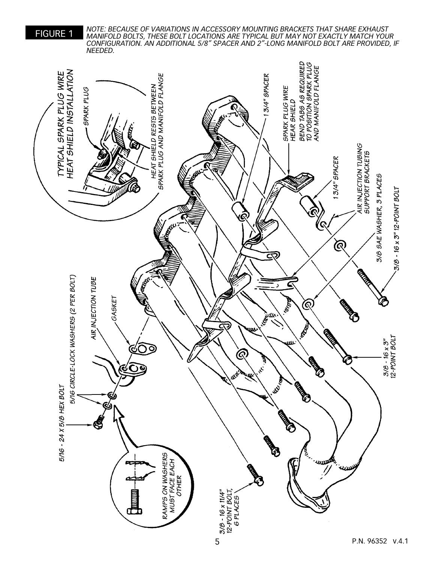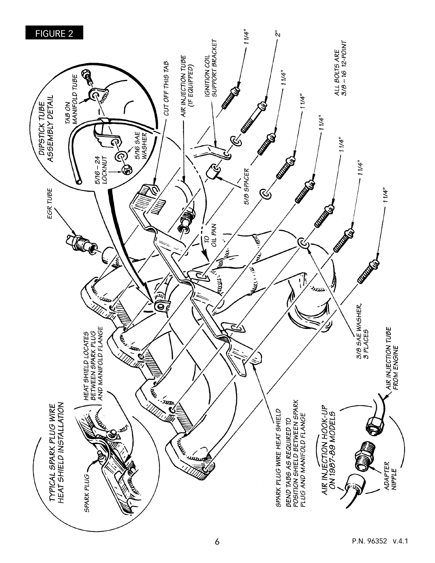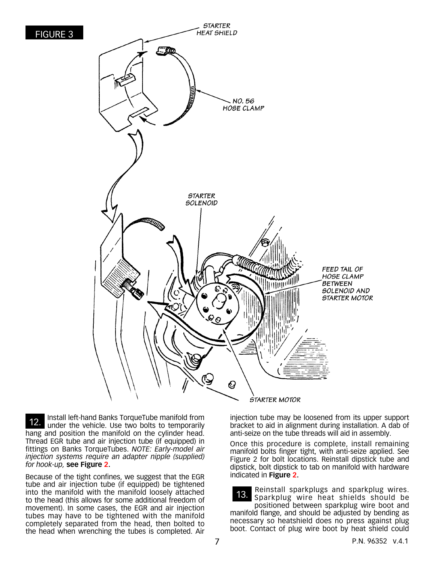

12. Install left-hand Banks TorqueTube manifold from<br>12. Inder the vehicle The two bolts to temporarily under the vehicle. Use two bolts to temporarily hang and position the manifold on the cylinder head. Thread EGR tube and air injection tube (if equipped) in fittings on Banks TorqueTubes. *NOTE: Early-model air injection systems require an adapter nipple (supplied) for hook-up,* **see Figure 2.**

Because of the tight confines, we suggest that the EGR tube and air injection tube (if equipped) be tightened into the manifold with the manifold loosely attached to the head (this allows for some additional freedom of movement). In some cases, the EGR and air injection tubes may have to be tightened with the manifold completely separated from the head, then bolted to the head when wrenching the tubes is completed. Air injection tube may be loosened from its upper support bracket to aid in alignment during installation. A dab of anti-seize on the tube threads will aid in assembly.

Once this procedure is complete, install remaining manifold bolts finger tight, with anti-seize applied. See Figure 2 for bolt locations. Reinstall dipstick tube and dipstick, bolt dipstick to tab on manifold with hardware indicated in **Figure 2.**

13. Reinstall sparkplugs and sparkplug wires. Sparkplug wire heat shields should be positioned between sparkplug wire boot and manifold flange, and should be adjusted by bending as necessary so heatshield does no press against plug boot. Contact of plug wire boot by heat shield could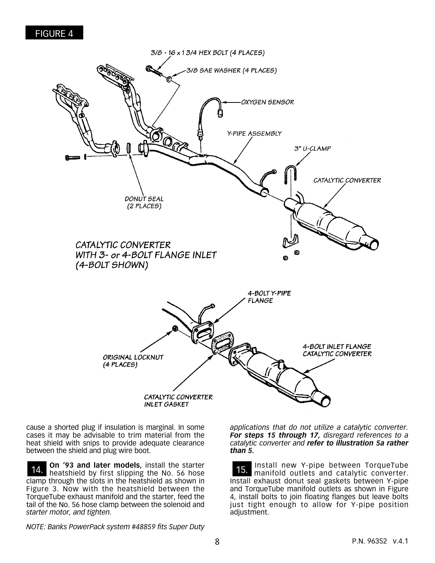

cause a shorted plug if insulation is marginal. In some cases it may be advisable to trim material from the heat shield with snips to provide adequate clearance between the shield and plug wire boot.

14. **On '93 and later models,** install the starter heatshield by first slipping the No. 56 hose clamp through the slots in the heatshield as shown in Figure 3. Now with the heatshield between the TorqueTube exhaust manifold and the starter, feed the tail of the No. 56 hose clamp between the solenoid and *starter motor, and tighten.*

*NOTE: Banks PowerPack system #48859 fits Super Duty* 

*applications that do not utilize a catalytic converter. For steps 15 through 17, disregard references to a catalytic converter and refer to illustration 5a rather than 5.*

15. Install new Y-pipe between TorqueTube manifold outlets and catalytic converter. Install exhaust donut seal gaskets between Y-pipe and TorqueTube manifold outlets as shown in Figure 4, install bolts to join floating flanges but leave bolts just tight enough to allow for Y-pipe position adjustment.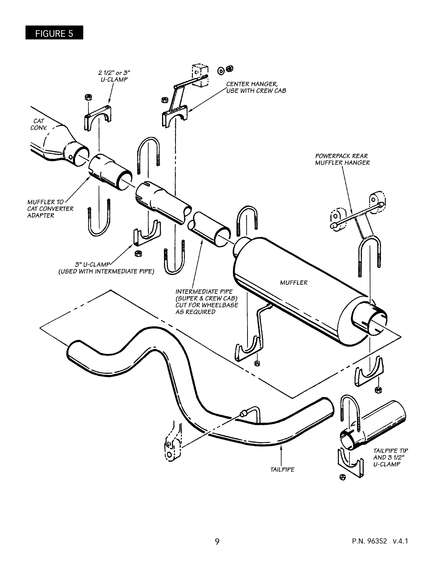### FIGURE 5

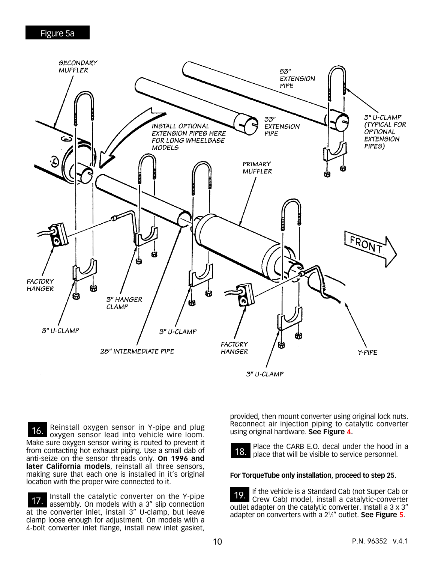

16. Reinstall oxygen sensor in Y-pipe and plug<br>16. Surveys agrees lood into vehicle wire loop. oxygen sensor lead into vehicle wire loom. Make sure oxygen sensor wiring is routed to prevent it from contacting hot exhaust piping. Use a small dab of anti-seize on the sensor threads only. **On 1996 and**  later California models, reinstall all three sensors, making sure that each one is installed in it's original location with the proper wire connected to it.

17. Install the catalytic converter on the Y-pipe assembly. On models with a 3" slip connection at the converter inlet, install 3" U-clamp, but leave clamp loose enough for adjustment. On models with a 4-bolt converter inlet flange, install new inlet gasket,

provided, then mount converter using original lock nuts. Reconnect air injection piping to catalytic converter using original hardware. **See Figure 4.**



18. Place the CARB E.O. decal under the hood in a place that will be visible to service personnel.

#### **For TorqueTube only installation, proceed to step 25.**

19. If the vehicle is a Standard Cab (not Super Cab or<br>Crow Cab) model, install a catalytic converter Crew Cab) model, install a catalytic-converter outlet adapter on the catalytic converter. Install a 3 x 3" adapter on converters with a 21 ⁄2" outlet. **See Figure 5**.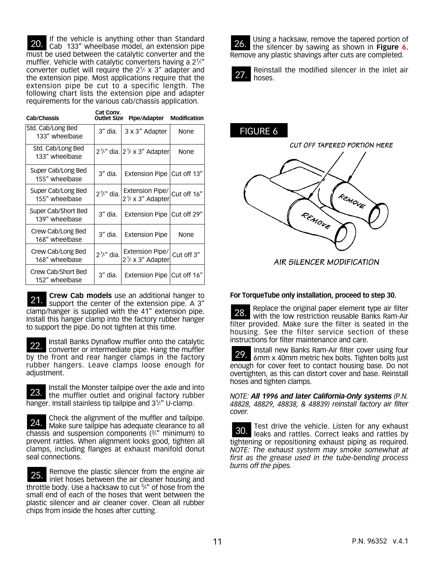20. If the vehicle is anything other than Standard Cab 133" wheelbase model, an extension pipe must be used between the catalytic converter and the muffler. Vehicle with catalytic converters having a  $2\frac{1}{2}$ " converter outlet will require the  $2\frac{1}{2}$  x 3" adapter and the extension pipe. Most applications require that the extension pipe be cut to a specific length. The following chart lists the extension pipe and adapter requirements for the various cab/chassis application.

| Cab/Chassis                           | Cat Conv.<br><b>Outlet Size</b> | Pipe/Adapter                                             | <b>Modification</b> |
|---------------------------------------|---------------------------------|----------------------------------------------------------|---------------------|
| Std. Cab/Long Bed<br>133" wheelbase   | 3" dia.                         | 3 x 3" Adapter                                           | None                |
| Std. Cab/Long Bed<br>133" wheelbase   |                                 | $2\frac{1}{2}$ " dia. $ 2\frac{1}{2} \times 3$ " Adapter | None                |
| Super Cab/Long Bed<br>155" wheelbase  | 3" dia.                         | Extension Pipe                                           | Cut off 13"         |
| Super Cab/Long Bed<br>155" wheelbase  | $2\frac{1}{2}$ dia.             | Extension Pipe/<br>$2\frac{1}{2}$ x 3" Adapter           | Cut off 16"         |
| Super Cab/Short Bed<br>139" wheelbase | 3" dia.                         | <b>Extension Pipe</b>                                    | Cut off 29"         |
| Crew Cab/Long Bed<br>168" wheelbase   | 3" dia.                         | <b>Extension Pipe</b>                                    | None                |
| Crew Cab/Long Bed<br>168" wheelbase   | $2\frac{1}{2}$ dia.             | Extension Pipe/<br>$2\frac{1}{2}$ x 3" Adapter           | Cut off 3"          |
| Crew Cab/Short Bed<br>152" wheelbase  | 3" dia.                         | <b>Extension Pipe</b>                                    | Cut off 16"         |

**21. Crew Cab models** use an additional hanger to **21. current** the center of the extension pipe A 3" support the center of the extension pipe. A 3" clamp/hanger is supplied with the 41" extension pipe. Install this hanger clamp into the factory rubber hanger to support the pipe. Do not tighten at this time.

22. Install Banks Dynaflow muffler onto the catalytic converter or intermediate pipe. Hang the muffler by the front and rear hanger clamps in the factory rubber hangers. Leave clamps loose enough for adjustment.

23. Install the Monster tailpipe over the axle and into it all the muffler outlet and original factory rubber hanger. Install stainless tip tailpipe and 3<sup>1/2"</sup> U-clamp.

24. Check the alignment of the muffler and tailpipe. Make sure tailpipe has adequate clearance to all chassis and suspension components  $(3/4)$ " minimum) to prevent rattles. When alignment looks good, tighten all clamps, including flanges at exhaust manifold donut seal connections.

25. Remove the plastic silencer from the engine air<br>25. Inter bosos between the air cleaner bousing and inlet hoses between the air cleaner housing and throttle body. Use a hacksaw to cut  $5/4$ " of hose from the small end of each of the hoses that went between the plastic silencer and air cleaner cover. Clean all rubber chips from inside the hoses after cutting.



 $27.$  Reinstall the modified silencer in the inlet air hoses.

# FIGURE 6



AIR SILENCER MODIFICATION

#### **For TorqueTube only installation, proceed to step 30.**

28. Replace the original paper element type air filter  $28.$  With the low restriction reusable Banks Bam-Air with the low restriction reusable Banks Ram-Air filter provided. Make sure the filter is seated in the housing. See the filter service section of these instructions for filter maintenance and care.

29. Install new Banks Ram-Air filter cover using four 6mm x 40mm metric hex bolts. Tighten bolts just enough for cover feet to contact housing base. Do not overtighten, as this can distort cover and base. Reinstall hoses and tighten clamps.

*NOTE: All 1996 and later California-Only systems (P.N. 48828, 48829, 48838, & 48839) reinstall factory air filter cover.*

30. Test drive the vehicle. Listen for any exhaust leaks and rattles. Correct leaks and rattles by tightening or repositioning exhaust piping as required. *NOTE: The exhaust system may smoke somewhat at first as the grease used in the tube-bending process burns off the pipes.*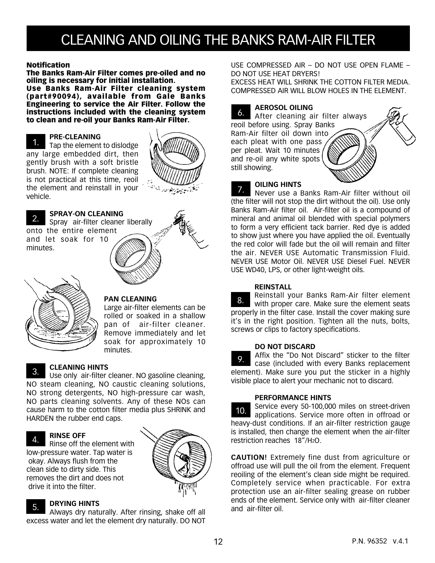# CLEANING AND OILING THE BANKS RAM-AIR FILTER

#### Notification

The Banks Ram-Air Filter comes pre-oiled and no oiling is necessary for initial installation.

Use Banks Ram-Air Filter cleaning system (part#90094), available from Gale Banks Engineering to service the Air Filter. Follow the instructions included with the cleaning system to clean and re-oil your Banks Ram-Air Filter.

#### **PRE-CLEANING**

Tap the element to dislodge any large embedded dirt, then gently brush with a soft bristle brush. NOTE: If complete cleaning is not practical at this time, reoil the element and reinstall in your vehicle. 1.



#### **SPRAY-ON CLEANING**

Spray air-filter cleaner liberally onto the entire element and let soak for 10 minutes. 2.

#### **PAN CLEANING**

Large air-filter elements can be rolled or soaked in a shallow pan of air-filter cleaner. Remove immediately and let soak for approximately 10 minutes.

#### **CLEANING HINTS**

Use only air-filter cleaner. NO gasoline cleaning, NO steam cleaning, NO caustic cleaning solutions, NO strong detergents, NO high-pressure car wash, NO parts cleaning solvents. Any of these NOs can cause harm to the cotton filter media plus SHRINK and HARDEN the rubber end caps. 3.

#### **RINSE OFF** 4.

Rinse off the element with low-pressure water. Tap water is okay. Always flush from the clean side to dirty side. This removes the dirt and does not drive it into the filter.



#### **DRYING HINTS** 5.

Always dry naturally. After rinsing, shake off all excess water and let the element dry naturally. DO NOT USE COMPRESSED AIR – DO NOT USE OPEN FLAME – DO NOT USE HEAT DRYERS!

EXCESS HEAT WILL SHRINK THE COTTON FILTER MEDIA. COMPRESSED AIR WILL BLOW HOLES IN THE ELEMENT.

### **AEROSOL OILING**

After cleaning air filter always reoil before using. Spray Banks Ram-Air filter oil down into each pleat with one pass per pleat. Wait 10 minutes and re-oil any white spots still showing. 6.



### **OILING HINTS**

Never use a Banks Ram-Air filter without oil (the filter will not stop the dirt without the oil). Use only Banks Ram-Air filter oil. Air-filter oil is a compound of mineral and animal oil blended with special polymers to form a very efficient tack barrier. Red dye is added to show just where you have applied the oil. Eventually the red color will fade but the oil will remain and filter the air. NEVER USE Automatic Transmission Fluid. NEVER USE Motor Oil. NEVER USE Diesel Fuel. NEVER USE WD40, LPS, or other light-weight oils. 7.

#### **REINSTALL**

Reinstall your Banks Ram-Air filter element with proper care. Make sure the element seats properly in the filter case. Install the cover making sure it's in the right position. Tighten all the nuts, bolts, screws or clips to factory specifications. 8.

#### **DO NOT DISCARD**

Affix the "Do Not Discard" sticker to the filter case (included with every Banks replacement element). Make sure you put the sticker in a highly visible place to alert your mechanic not to discard. 9.

#### **PERFORMANCE HINTS**

Service every 50-100,000 miles on street-driven applications. Service more often in offroad or heavy-dust conditions. If an air-filter restriction gauge is installed, then change the element when the air-filter restriction reaches 18"/H2O. 10.

**CAUTION!** Extremely fine dust from agriculture or offroad use will pull the oil from the element. Frequent reoiling of the element's clean side might be required. Completely service when practicable. For extra protection use an air-filter sealing grease on rubber ends of the element. Service only with air-filter cleaner and air-filter oil.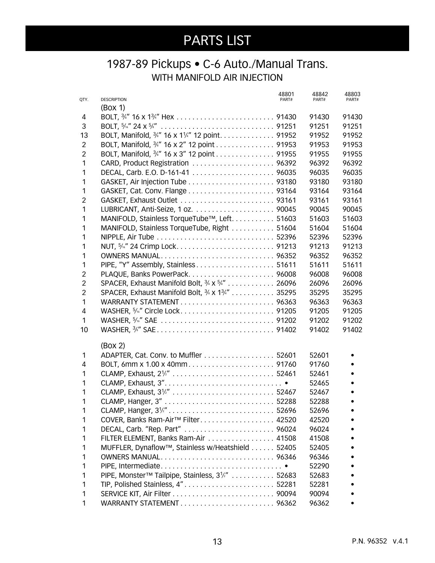### 1987-89 Pickups • C-6 Auto./Manual Trans. WITH MANIFOLD AIR INJECTION

| QTY.           | <b>DESCRIPTION</b>                                          | 48801<br>PART# | 48842<br>PART# | 48803<br>PART# |
|----------------|-------------------------------------------------------------|----------------|----------------|----------------|
|                | (Box 1)                                                     |                |                |                |
| 4              |                                                             |                | 91430          | 91430          |
| 3              |                                                             |                | 91251          | 91251          |
| 13             | BOLT, Manifold, 3/4" 16 x 11/4" 12 point 91952              |                | 91952          | 91952          |
| $\overline{c}$ | BOLT, Manifold, 3/4" 16 x 2" 12 point 91953                 |                | 91953          | 91953          |
| $\overline{2}$ | BOLT, Manifold, 3/4" 16 x 3" 12 point 91955                 |                | 91955          | 91955          |
| 1              | CARD, Product Registration  96392                           |                | 96392          | 96392          |
| 1              |                                                             |                | 96035          | 96035          |
| 1              |                                                             |                | 93180          | 93180          |
| 1              |                                                             |                | 93164          | 93164          |
| $\overline{2}$ | GASKET, Exhaust Outlet  93161                               |                | 93161          | 93161          |
| 1              |                                                             |                | 90045          | 90045          |
| 1              | MANIFOLD, Stainless TorqueTube™, Left. 51603                |                | 51603          | 51603          |
| 1              | MANIFOLD, Stainless TorqueTube, Right  51604                |                | 51604          | 51604          |
| 1              |                                                             |                | 52396          | 52396          |
| 1              |                                                             |                | 91213          | 91213          |
| 1              | OWNERS MANUAL 96352                                         |                | 96352          | 96352          |
| 1              | PIPE, "Y" Assembly, Stainless 51611                         |                | 51611          | 51611          |
| $\overline{c}$ | PLAQUE, Banks PowerPack96008                                |                | 96008          | 96008          |
| $\overline{c}$ | SPACER, Exhaust Manifold Bolt, 3/8 X 5/8" 26096             |                | 26096          | 26096          |
| $\overline{2}$ | SPACER, Exhaust Manifold Bolt, 3/8 x 13/4" 35295            |                | 35295          | 35295          |
| 1              |                                                             |                | 96363          | 96363          |
| 4              |                                                             |                | 91205          | 91205          |
| 1              |                                                             |                | 91202          | 91202          |
| 10             |                                                             |                | 91402          | 91402          |
|                |                                                             |                |                |                |
|                | (Box 2)                                                     |                |                |                |
| 1              | ADAPTER, Cat. Conv. to Muffler 52601                        |                | 52601          |                |
| 4              |                                                             |                | 91760          |                |
| 1              |                                                             |                | 52461          |                |
| 1              |                                                             |                | 52465          |                |
| 1              |                                                             |                | 52467          |                |
| 1              |                                                             |                | 52288          |                |
| 1              |                                                             |                | 52696          |                |
| 1              | COVER, Banks Ram-Air <sup>™</sup> Filter 42520              |                | 42520          |                |
| 1              | DECAL, Carb. "Rep. Part"  96024                             |                | 96024          |                |
| 1              | FILTER ELEMENT, Banks Ram-Air  41508                        |                | 41508          |                |
| 1              | MUFFLER, Dynaflow™, Stainless w/Heatshield 52405            |                | 52405          |                |
| 1              | OWNERS MANUAL 96346                                         |                | 96346          |                |
| 1              |                                                             |                | 52290          |                |
| 1              | PIPE, Monster™ Tailpipe, Stainless, 3 <sup>1/2"</sup> 52683 |                | 52683          |                |
| 1              | TIP, Polished Stainless, 4" 52281                           |                | 52281          |                |
| 1              |                                                             |                | 90094          |                |
| 1              |                                                             |                | 96362          |                |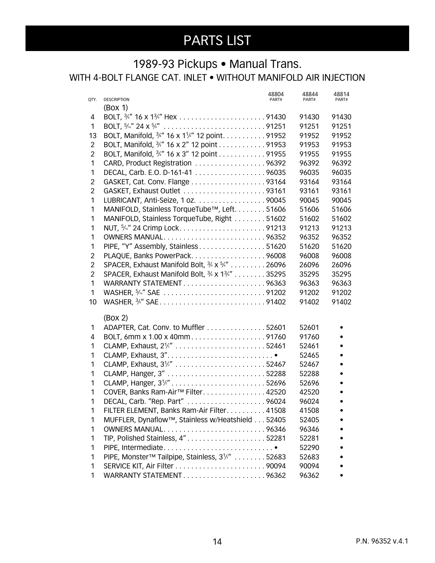### 1989-93 Pickups • Manual Trans. WITH 4-BOLT FLANGE CAT. INLET • WITHOUT MANIFOLD AIR INJECTION

|                | <b>DESCRIPTION</b>                                                                    | 48804<br>PART# | 48844<br>PART# | 48814<br>PART# |
|----------------|---------------------------------------------------------------------------------------|----------------|----------------|----------------|
| QTY.           | (Box 1)                                                                               |                |                |                |
| 4              |                                                                                       |                | 91430          | 91430          |
| 1              |                                                                                       |                | 91251          | 91251          |
| 13             | BOLT, Manifold, <sup>3</sup> / <sub>8</sub> " 16 x 1 <sup>1</sup> /4" 12 point. 91952 |                | 91952          | 91952          |
| $\overline{2}$ | BOLT, Manifold, 3/4" 16 x 2" 12 point 91953                                           |                | 91953          | 91953          |
| $\overline{2}$ | BOLT, Manifold, 3/4" 16 x 3" 12 point 91955                                           |                | 91955          | 91955          |
| 1              | CARD, Product Registration 96392                                                      |                | 96392          | 96392          |
| 1              | DECAL, Carb. E.O. D-161-41 96035                                                      |                | 96035          | 96035          |
| $\overline{2}$ |                                                                                       |                | 93164          | 93164          |
| $\overline{2}$ | GASKET, Exhaust Outlet 93161                                                          |                | 93161          | 93161          |
| 1              | LUBRICANT, Anti-Seize, 1 oz. 90045                                                    |                | 90045          | 90045          |
| 1              | MANIFOLD, Stainless TorqueTube™, Left. 51606                                          |                | 51606          | 51606          |
| 1              | MANIFOLD, Stainless TorqueTube, Right 51602                                           |                | 51602          | 51602          |
| 1              |                                                                                       |                | 91213          | 91213          |
| 1              | OWNERS MANUAL96352                                                                    |                | 96352          | 96352          |
| 1              | PIPE, "Y" Assembly, Stainless 51620                                                   |                | 51620          | 51620          |
| $\overline{2}$ | PLAQUE, Banks PowerPack96008                                                          |                | 96008          | 96008          |
| $\overline{2}$ | SPACER, Exhaust Manifold Bolt, $\frac{3}{8}$ x $\frac{5}{8}$ " 26096                  |                | 26096          | 26096          |
| $\overline{2}$ | SPACER, Exhaust Manifold Bolt, 3/8 x 13/4" 35295                                      |                | 35295          | 35295          |
| 1              | WARRANTY STATEMENT96363                                                               |                | 96363          | 96363          |
| 1              | WASHER, 5/6" SAE 91202                                                                |                | 91202          | 91202          |
| 10             |                                                                                       |                | 91402          | 91402          |
|                |                                                                                       |                |                |                |
|                | (Box 2)                                                                               |                |                |                |
| 1              | ADAPTER, Cat. Conv. to Muffler 52601                                                  |                | 52601<br>91760 |                |
| 4<br>1         | BOLT, 6mm x 1.00 x 40mm91760<br>CLAMP, Exhaust, 2 <sup>1/2"</sup> 52461               |                | 52461          |                |
| 1              | CLAMP, Exhaust, 3"                                                                    |                | 52465          |                |
| 1              | CLAMP, Exhaust, 3 <sup>1/2"</sup> 52467                                               |                | 52467          |                |
| 1              |                                                                                       |                | 52288          |                |
| 1              |                                                                                       |                | 52696          |                |
| 1              | COVER, Banks Ram-Air <sup>™</sup> Filter42520                                         |                | 42520          |                |
| 1              | DECAL, Carb. "Rep. Part" 96024                                                        |                | 96024          |                |
| 1              | FILTER ELEMENT, Banks Ram-Air Filter41508                                             |                | 41508          |                |
| 1              | MUFFLER, Dynaflow™, Stainless w/Heatshield 52405                                      |                | 52405          |                |
| 1              | OWNERS MANUAL96346                                                                    |                | 96346          |                |
| 1              | TIP, Polished Stainless, 4"52281                                                      |                | 52281          |                |
| 1              |                                                                                       |                | 52290          |                |
| 1              | PIPE, Monster™ Tailpipe, Stainless, 31/2" 52683                                       |                | 52683          |                |
| 1              |                                                                                       |                | 90094          |                |
| 1              | WARRANTY STATEMENT96362                                                               |                | 96362          |                |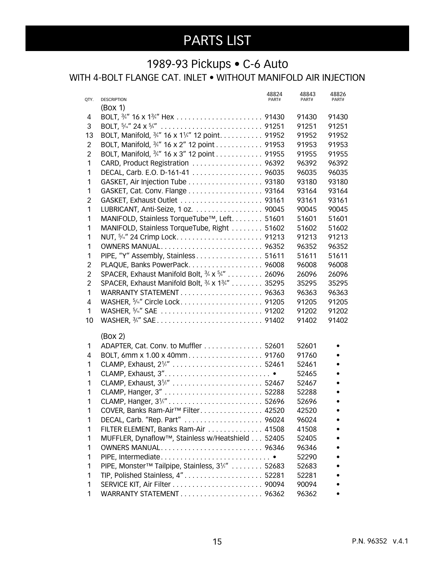### 1989-93 Pickups • C-6 Auto

WITH 4-BOLT FLANGE CAT. INLET • WITHOUT MANIFOLD AIR INJECTION

| QTY.           | 48824<br><b>DESCRIPTION</b><br>PART#             | 48843<br>PART# | 48826<br>PART# |
|----------------|--------------------------------------------------|----------------|----------------|
|                | (Box 1)                                          |                |                |
| 4              |                                                  | 91430          | 91430          |
| 3              |                                                  | 91251          | 91251          |
| 13             | BOLT, Manifold, 3/4" 16 x 11/4" 12 point. 91952  | 91952          | 91952          |
| $\overline{2}$ | BOLT, Manifold, 3/4" 16 x 2" 12 point 91953      | 91953          | 91953          |
| $\overline{2}$ | BOLT, Manifold, 3/4" 16 x 3" 12 point 91955      | 91955          | 91955          |
| 1              | CARD, Product Registration  96392                | 96392          | 96392          |
| 1              | DECAL, Carb. E.O. D-161-41  96035                | 96035          | 96035          |
| 1              | GASKET, Air Injection Tube 93180                 | 93180          | 93180          |
| 1              | GASKET, Cat. Conv. Flange 93164                  | 93164          | 93164          |
| $\overline{2}$ | GASKET, Exhaust Outlet  93161                    | 93161          | 93161          |
| 1              | LUBRICANT, Anti-Seize, 1 oz. 90045               | 90045          | 90045          |
| 1              | MANIFOLD, Stainless TorqueTube™, Left. 51601     | 51601          | 51601          |
| 1              | MANIFOLD, Stainless TorqueTube, Right  51602     | 51602          | 51602          |
| 1              |                                                  | 91213          | 91213          |
| 1              | OWNERS MANUAL 96352                              | 96352          | 96352          |
| 1              | PIPE, "Y" Assembly, Stainless 51611              | 51611          | 51611          |
| $\overline{2}$ | PLAQUE, Banks PowerPack 96008                    | 96008          | 96008          |
| $\overline{c}$ | SPACER, Exhaust Manifold Bolt, 3/8 X 5/8" 26096  | 26096          | 26096          |
| $\overline{2}$ | SPACER, Exhaust Manifold Bolt, 3/8 x 13/4" 35295 | 35295          | 35295          |
| 1              |                                                  | 96363          | 96363          |
| 4              |                                                  | 91205          | 91205          |
| 1              |                                                  | 91202          | 91202          |
| 10             |                                                  | 91402          | 91402          |
|                |                                                  |                |                |
|                | (Box 2)                                          |                |                |
| 1              | ADAPTER, Cat. Conv. to Muffler 52601             | 52601          |                |
| 4              |                                                  | 91760<br>52461 |                |
| 1<br>1         |                                                  | 52465          |                |
| 1              | CLAMP, Exhaust, 3 <sup>1/2"</sup> 52467          | 52467          |                |
| 1              |                                                  | 52288          |                |
| 1              |                                                  | 52696          |                |
| 1              | COVER, Banks Ram-Air <sup>™</sup> Filter. 42520  | 42520          |                |
| 1              | DECAL, Carb. "Rep. Part"  96024                  | 96024          |                |
| 1              | FILTER ELEMENT, Banks Ram-Air  41508             | 41508          |                |
| 1              | MUFFLER, Dynaflow™, Stainless w/Heatshield 52405 | 52405          |                |
| 1              | OWNERS MANUAL 96346                              | 96346          |                |
| 1              |                                                  | 52290          |                |
| 1              | PIPE, Monster™ Tailpipe, Stainless, 31/2"  52683 | 52683          |                |
| 1              | TIP, Polished Stainless, 4" 52281                | 52281          |                |
| 1              |                                                  | 90094          |                |
| 1              |                                                  | 96362          |                |
|                |                                                  |                |                |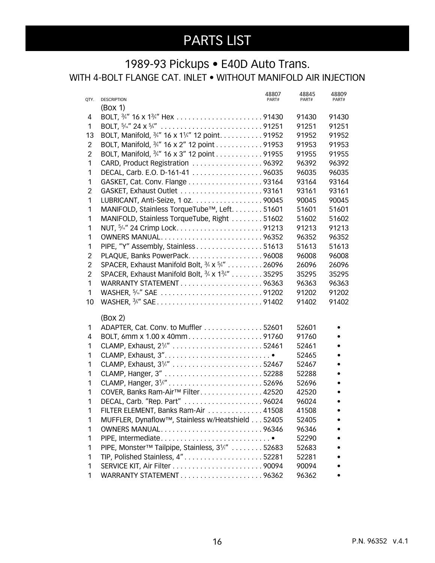### 1989-93 Pickups • E40D Auto Trans. WITH 4-BOLT FLANGE CAT. INLET • WITHOUT MANIFOLD AIR INJECTION

|                |                                                                                                        | 48807 | 48845          | 48809 |
|----------------|--------------------------------------------------------------------------------------------------------|-------|----------------|-------|
| QTY.           | <b>DESCRIPTION</b>                                                                                     | PART# | PART#          | PART# |
| 4              | (Box 1)                                                                                                |       |                | 91430 |
| 1              |                                                                                                        |       | 91430<br>91251 | 91251 |
| 13             | BOLT, Manifold, 3/4" 16 x 11/4" 12 point. 91952                                                        |       | 91952          | 91952 |
| $\overline{c}$ |                                                                                                        |       | 91953          | 91953 |
| $\overline{2}$ | BOLT, Manifold, <sup>3</sup> /4" 16 x 2" 12 point 91953<br>BOLT, Manifold, 3/4" 16 x 3" 12 point 91955 |       | 91955          | 91955 |
| 1              | CARD, Product Registration 96392                                                                       |       | 96392          | 96392 |
| 1              | DECAL, Carb. E.O. D-161-41 96035                                                                       |       | 96035          | 96035 |
| 1              | GASKET, Cat. Conv. Flange 93164                                                                        |       | 93164          | 93164 |
| $\overline{2}$ | GASKET, Exhaust Outlet 93161                                                                           |       | 93161          | 93161 |
| 1              | LUBRICANT, Anti-Seize, 1 oz. 90045                                                                     |       | 90045          | 90045 |
| 1              | MANIFOLD, Stainless TorqueTube™, Left. 51601                                                           |       | 51601          | 51601 |
| 1              | MANIFOLD, Stainless TorqueTube, Right 51602                                                            |       | 51602          | 51602 |
| 1              |                                                                                                        |       | 91213          | 91213 |
| 1              | OWNERS MANUAL96352                                                                                     |       | 96352          | 96352 |
| 1              | PIPE, "Y" Assembly, Stainless51613                                                                     |       | 51613          | 51613 |
| $\overline{c}$ | PLAQUE, Banks PowerPack96008                                                                           |       | 96008          | 96008 |
| $\overline{c}$ | SPACER, Exhaust Manifold Bolt, 3/8 x 5/8" 26096                                                        |       | 26096          | 26096 |
| $\overline{2}$ | SPACER, Exhaust Manifold Bolt, 3/8 x 13/4" 35295                                                       |       | 35295          | 35295 |
| 1              | WARRANTY STATEMENT96363                                                                                |       | 96363          | 96363 |
| 1              | WASHER, 5/6" SAE 91202                                                                                 |       | 91202          | 91202 |
| 10             |                                                                                                        |       | 91402          | 91402 |
|                |                                                                                                        |       |                |       |
|                | (Box 2)                                                                                                |       |                |       |
| 1              | ADAPTER, Cat. Conv. to Muffler 52601                                                                   |       | 52601          |       |
| 4              | BOLT, 6mm x 1.00 x 40mm91760                                                                           |       | 91760          |       |
| 1              |                                                                                                        |       | 52461          |       |
| 1              | CLAMP, Exhaust, 3"                                                                                     |       | 52465          |       |
| 1              | CLAMP, Exhaust, 3 <sup>1/2"</sup> 52467                                                                |       | 52467          |       |
| 1              |                                                                                                        |       | 52288          |       |
| 1              |                                                                                                        |       | 52696          |       |
| 1              | COVER, Banks Ram-Air <sup>™</sup> Filter42520                                                          |       | 42520          |       |
| 1              | DECAL, Carb. "Rep. Part" 96024                                                                         |       | 96024          |       |
| 1              | FILTER ELEMENT, Banks Ram-Air 41508                                                                    |       | 41508          |       |
| 1              | MUFFLER, Dynaflow™, Stainless w/Heatshield 52405                                                       |       | 52405          |       |
| 1              | OWNERS MANUAL96346                                                                                     |       | 96346          |       |
| 1              | PIPE, Intermediate                                                                                     |       | 52290          |       |
| 1              | PIPE, Monster™ Tailpipe, Stainless, 31/2" 52683                                                        |       | 52683          |       |
| 1              | TIP, Polished Stainless, 4"52281                                                                       |       | 52281          |       |
| 1              |                                                                                                        |       | 90094          |       |
| 1              |                                                                                                        |       | 96362          |       |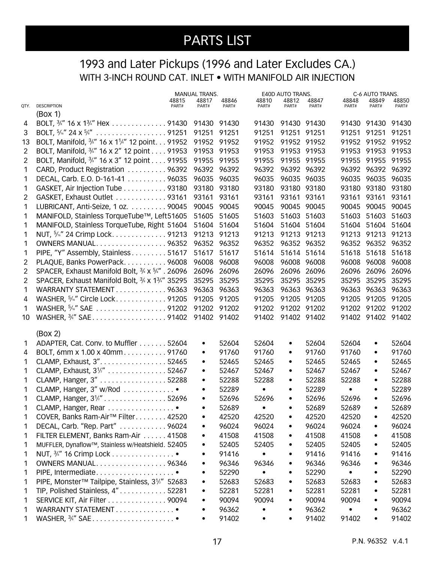### 1993 and Later Pickups (1996 and Later Excludes CA.) WITH 3-INCH ROUND CAT. INLET . WITH MANIFOLD AIR INJECTION

|      |                                                             |       | <b>MANUAL TRANS.</b> |       |           | <b>E40D AUTO TRANS.</b> |             |           | C-6 AUTO TRANS.   |       |
|------|-------------------------------------------------------------|-------|----------------------|-------|-----------|-------------------------|-------------|-----------|-------------------|-------|
|      |                                                             | 48815 | 48817                | 48846 | 48810     | 48812                   | 48847       | 48848     | 48849             | 48850 |
| QTY. | <b>DESCRIPTION</b>                                          | PART# | PART#                | PART# | PART#     | PART#                   | PART#       | PART#     | PART#             | PART# |
|      | (Box 1)                                                     |       |                      |       |           |                         |             |           |                   |       |
| 4    | BOLT, 3/4" 16 x 13/4" Hex 91430 91430 91430                 |       |                      |       | 91430     | 91430 91430             |             |           | 91430 91430 91430 |       |
| 3    |                                                             |       | 91251 91251          |       | 91251     | 91251 91251             |             |           | 91251 91251       | 91251 |
| 13   | BOLT, Manifold, 3/4" 16 x 11/4" 12 point. 91952 91952 91952 |       |                      |       | 91952     | 91952 91952             |             |           | 91952 91952 91952 |       |
| 2    | BOLT, Manifold, <sup>3/4"</sup> 16 x 2" 12 point 91953      |       | 91953 91953          |       | 91953     |                         | 91953 91953 |           | 91953 91953 91953 |       |
| 2    | BOLT, Manifold, 3/4" 16 x 3" 12 point 91955                 |       | 91955 91955          |       | 91955     |                         | 91955 91955 |           | 91955 91955 91955 |       |
| 1    | CARD, Product Registration 96392 96392 96392                |       |                      |       | 96392     | 96392 96392             |             |           | 96392 96392 96392 |       |
| 1    | DECAL, Carb. E.O. D-161-41 96035                            |       | 96035 96035          |       | 96035     |                         | 96035 96035 |           | 96035 96035 96035 |       |
| 1    | GASKET, Air Injection Tube 93180                            |       | 93180 93180          |       | 93180     |                         | 93180 93180 |           | 93180 93180       | 93180 |
| 2    | GASKET, Exhaust Outlet 93161                                |       | 93161 93161          |       | 93161     | 93161 93161             |             |           | 93161 93161 93161 |       |
| 1    | LUBRICANT, Anti-Seize, 1 oz. 90045                          |       | 90045                | 90045 | 90045     |                         | 90045 90045 |           | 90045 90045 90045 |       |
| 1    | MANIFOLD, Stainless TorqueTube™, Left51605                  |       | 51605                | 51605 | 51603     |                         | 51603 51603 |           | 51603 51603       | 51603 |
| 1    | MANIFOLD, Stainless TorqueTube, Right 51604 51604 51604     |       |                      |       | 51604     | 51604 51604             |             |           | 51604 51604 51604 |       |
| 1    | NUT, 5%" 24 Crimp Lock91213                                 |       | 91213 91213          |       | 91213     | 91213 91213             |             |           | 91213 91213 91213 |       |
| 1    | OWNERS MANUAL96352                                          |       | 96352 96352          |       | 96352     |                         | 96352 96352 |           | 96352 96352 96352 |       |
| 1    | PIPE, "Y" Assembly, Stainless 51617                         |       | 51617 51617          |       | 51614     |                         | 51614 51614 |           | 51618 51618       | 51618 |
| 2    | PLAQUE, Banks PowerPack96008                                |       | 96008                | 96008 | 96008     |                         | 96008 96008 |           | 96008 96008 96008 |       |
| 2    | SPACER, Exhaust Manifold Bolt, 3/8 x 5/8". 26096            |       | 26096 26096          |       |           |                         | 26096 26096 |           |                   |       |
|      |                                                             |       |                      |       | 26096     |                         |             |           | 26096 26096 26096 |       |
| 2    | SPACER, Exhaust Manifold Bolt, 3/8 x 13/4" 35295            |       | 35295 35295          |       | 35295     |                         | 35295 35295 |           | 35295 35295 35295 |       |
| 1    | WARRANTY STATEMENT 96363                                    |       | 96363 96363          |       | 96363     | 96363 96363             |             |           | 96363 96363 96363 |       |
| 4    | WASHER, 5/16" Circle Lock91205                              |       | 91205 91205          |       | 91205     |                         | 91205 91205 |           | 91205 91205 91205 |       |
| 1    | WASHER, 5/6" SAE 91202 91202 91202                          |       |                      |       | 91202     | 91202 91202             |             |           | 91202 91202 91202 |       |
| 10   | WASHER, 3/4" SAE 91402 91402 91402                          |       |                      |       | 91402     | 91402 91402             |             |           | 91402 91402 91402 |       |
|      |                                                             |       |                      |       |           |                         |             |           |                   |       |
|      | (Box 2)                                                     |       |                      |       |           |                         |             |           |                   |       |
| 1    | ADAPTER, Cat. Conv. to Muffler 52604                        |       | $\bullet$            | 52604 | 52604     | $\bullet$               | 52604       | 52604     | $\bullet$         | 52604 |
| 4    | BOLT, 6mm x 1.00 x 40mm91760                                |       | $\bullet$            | 91760 | 91760     | $\bullet$               | 91760       | 91760     | $\bullet$         | 91760 |
| 1    | CLAMP, Exhaust, 3". 52465                                   |       | $\bullet$            | 52465 | 52465     | $\bullet$               | 52465       | 52465     | $\bullet$         | 52465 |
| 1    | CLAMP, Exhaust, 3 <sup>1/2"</sup> 52467                     |       | $\bullet$            | 52467 | 52467     | $\bullet$               | 52467       | 52467     | $\bullet$         | 52467 |
| 1    | CLAMP, Hanger, 3" 52288                                     |       | $\bullet$            | 52288 | 52288     | $\bullet$               | 52288       | 52288     | $\bullet$         | 52288 |
| 1    | CLAMP, Hanger, 3" w/Rod                                     |       | $\bullet$            | 52289 |           | $\bullet$               | 52289       |           | $\bullet$         | 52289 |
| 1    | CLAMP, Hanger, 3 <sup>1/2"</sup> 52696                      |       | $\bullet$            | 52696 | 52696     | $\bullet$               | 52696       | 52696     | $\bullet$         | 52696 |
| 1.   | CLAMP, Hanger, Rear                                         |       |                      | 52689 |           |                         | 52689       | 52689     |                   | 52689 |
| 1    | COVER, Banks Ram-Air <sup>™</sup> Filter. 42520             |       | $\bullet$            | 42520 | 42520     | $\bullet$               | 42520       | 42520     | $\bullet$         | 42520 |
| 1    | DECAL, Carb. "Rep. Part" 96024                              |       |                      | 96024 | 96024     | ٠                       | 96024       | 96024     | $\bullet$         | 96024 |
| 1    | FILTER ELEMENT, Banks Ram-Air 41508                         |       |                      | 41508 | 41508     | ٠                       | 41508       | 41508     | $\bullet$         | 41508 |
| 1    | MUFFLER, Dynaflow™, Stainless w/Heatshield. 52405           |       |                      | 52405 | 52405     |                         | 52405       | 52405     | $\bullet$         | 52405 |
| 1    |                                                             |       |                      | 91416 |           | $\bullet$               | 91416       | 91416     | $\bullet$         | 91416 |
| 1    | OWNERS MANUAL96346                                          |       | ٠                    | 96346 | 96346     | $\bullet$               | 96346       | 96346     | $\bullet$         | 96346 |
| 1    | PIPE, Intermediate                                          |       | $\bullet$            | 52290 | $\bullet$ | $\bullet$               | 52290       | $\bullet$ | $\bullet$         | 52290 |
| 1    | PIPE, Monster™ Tailpipe, Stainless, 31/2" 52683             |       |                      | 52683 | 52683     |                         | 52683       | 52683     | $\bullet$         | 52683 |
| 1    | TIP, Polished Stainless, 4"52281                            |       |                      | 52281 | 52281     | ٠                       | 52281       | 52281     | $\bullet$         | 52281 |
|      |                                                             |       | ٠                    | 90094 |           |                         |             |           |                   |       |
| 1    | SERVICE KIT, Air Filter 90094                               |       |                      |       | 90094     |                         | 90094       | 90094     | $\bullet$         | 90094 |
| 1    | WARRANTY STATEMENT                                          |       |                      | 96362 |           |                         | 96362       |           | $\bullet$         | 96362 |
| 1    |                                                             |       |                      | 91402 | $\bullet$ | $\bullet$               | 91402       | 91402     | $\bullet$         | 91402 |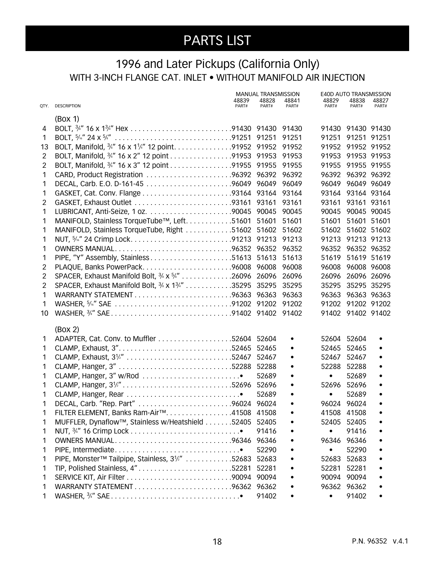### 1996 and Later Pickups (California Only) WITH 3-INCH FLANGE CAT. INLET • WITHOUT MANIFOLD AIR INJECTION

|                |                                                              |                | <b>MANUAL TRANSMISSION</b> |                | <b>E40D AUTO TRANSMISSION</b> |                   |                |
|----------------|--------------------------------------------------------------|----------------|----------------------------|----------------|-------------------------------|-------------------|----------------|
|                | QTY. DESCRIPTION                                             | 48839<br>PART# | 48828<br>PART#             | 48841<br>PART# | 48829<br>PART#                | 48838<br>PART#    | 48827<br>PART# |
|                | (Box 1)                                                      |                |                            |                |                               |                   |                |
| 4              |                                                              |                |                            |                |                               | 91430 91430 91430 |                |
| 1              |                                                              |                |                            |                | 91251                         | 91251 91251       |                |
| 13             | BOLT, Manifold, 3/4" 16 x 11/4" 12 point. 91952 91952 91952  |                |                            |                |                               | 91952 91952 91952 |                |
| $\overline{2}$ | BOLT, Manifold, 3/4" 16 x 2" 12 point 91953 91953 91953      |                |                            |                |                               | 91953 91953 91953 |                |
| $\overline{2}$ | BOLT, Manifold, 3/4" 16 x 3" 12 point 91955 91955 91955      |                |                            |                |                               | 91955 91955 91955 |                |
| 1              | CARD, Product Registration 96392 96392 96392                 |                |                            |                |                               | 96392 96392 96392 |                |
| 1              |                                                              |                |                            |                |                               | 96049 96049 96049 |                |
| 1              |                                                              |                |                            |                |                               | 93164 93164 93164 |                |
| $\overline{2}$ |                                                              |                |                            |                | 93161                         | 93161 93161       |                |
| 1              |                                                              |                |                            | 90045          | 90045                         | 90045 90045       |                |
| 1              | MANIFOLD, Stainless TorqueTube™, Left. 51601 51601           |                |                            | 51601          | 51601                         | 51601 51601       |                |
| 1              | MANIFOLD, Stainless TorqueTube, Right 51602 51602 51602      |                |                            |                | 51602                         | 51602 51602       |                |
| 1              |                                                              |                |                            |                |                               | 91213 91213 91213 |                |
| 1              | OWNERS MANUAL96352 96352 96352                               |                |                            |                |                               | 96352 96352 96352 |                |
| 1              |                                                              |                |                            | 51613          | 51619                         | 51619 51619       |                |
| $\overline{c}$ | PLAQUE, Banks PowerPack96008 96008                           |                |                            | 96008          | 96008                         | 96008 96008       |                |
| $\overline{2}$ | SPACER, Exhaust Manifold Bolt, 3/8 x 5/4" 26096 26096 26096  |                |                            |                | 26096                         | 26096 26096       |                |
| 2              | SPACER, Exhaust Manifold Bolt, 3/8 x 13/4" 35295 35295 35295 |                |                            |                | 35295                         | 35295 35295       |                |
| 1              |                                                              |                |                            |                |                               | 96363 96363 96363 |                |
| 1              |                                                              |                |                            |                |                               | 91202 91202 91202 |                |
| 10             |                                                              |                |                            |                |                               | 91402 91402 91402 |                |
|                | (Box 2)                                                      |                |                            |                |                               |                   |                |
| 1              |                                                              |                |                            |                | 52604                         | 52604             |                |
| 1              |                                                              |                |                            |                | 52465                         | 52465             |                |
| 1              |                                                              |                |                            | $\bullet$      | 52467                         | 52467             |                |
| 1              |                                                              |                |                            | $\bullet$      | 52288                         | 52288             |                |
| 1              |                                                              |                | 52689                      | $\bullet$      | $\bullet$                     | 52689             |                |
| 1              |                                                              |                |                            | $\bullet$      | 52696                         | 52696             |                |
| 1              |                                                              |                | 52689                      |                | $\bullet$                     | 52689             |                |
| 1              |                                                              |                |                            |                | 96024 96024                   |                   |                |
| 1              | FILTER ELEMENT, Banks Ram-Air™. 41508 41508                  |                |                            |                | 41508 41508                   |                   |                |
| 1              | MUFFLER, Dynaflow™, Stainless w/Heatshield 52405 52405       |                |                            |                | 52405                         | 52405             |                |
| 1              |                                                              |                | 91416                      |                | $\bullet$                     | 91416             |                |
| 1              | OWNERS MANUAL96346 96346                                     |                |                            |                | 96346 96346                   |                   |                |
| 1              |                                                              |                | 52290                      |                | $\bullet$                     | 52290             |                |
| 1              | PIPE, Monster™ Tailpipe, Stainless, 3 <sup>1/2"</sup> 52683  |                | 52683                      |                | 52683                         | 52683             |                |
| 1              | TIP, Polished Stainless, 4"52281 52281                       |                |                            |                | 52281                         | 52281             |                |
| 1              |                                                              |                |                            |                | 90094 90094                   |                   |                |
| 1              |                                                              |                |                            |                | 96362 96362                   |                   |                |
| 1              |                                                              |                | 91402                      |                | $\bullet$                     | 91402             |                |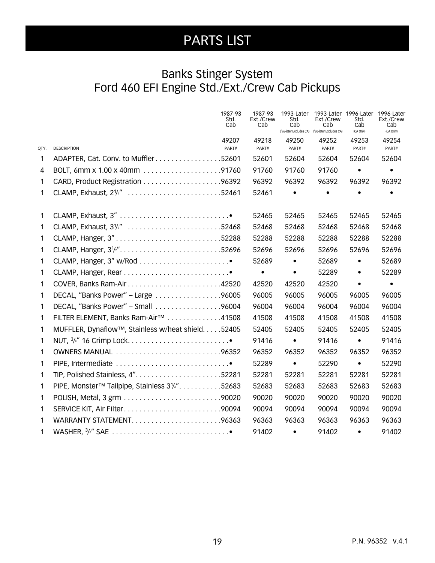### Banks Stinger System Ford 460 EFI Engine Std./Ext./Crew Cab Pickups

|      |                                                    | 1987-93<br>Std.<br>Cab | 1987-93<br>Ext./Crew<br>Cab | 1993-Later<br>Std.<br>Cab<br>('96-later Excludes CA) ('96-later Excludes CA) | Ext./Crew<br>Cab | 1993-Later 1996-Later<br>Std.<br>Cab<br>(CA Only) | 1996-Later<br>Ext./Crew<br>Cab<br>(CA Only) |
|------|----------------------------------------------------|------------------------|-----------------------------|------------------------------------------------------------------------------|------------------|---------------------------------------------------|---------------------------------------------|
| QTY. | <b>DESCRIPTION</b>                                 | 49207<br>PART#         | 49218<br>PART#              | 49250<br>PART#                                                               | 49252<br>PART#   | 49253<br>PART#                                    | 49254<br>PART#                              |
| 1    | ADAPTER, Cat. Conv. to Muffler52601                |                        | 52601                       | 52604                                                                        | 52604            | 52604                                             | 52604                                       |
| 4    |                                                    |                        | 91760                       | 91760                                                                        | 91760            | $\bullet$                                         |                                             |
| 1    |                                                    |                        | 96392                       | 96392                                                                        | 96392            | 96392                                             | 96392                                       |
| 1    | CLAMP, Exhaust, 2 <sup>1/2"</sup> 52461            |                        | 52461                       | $\bullet$                                                                    | $\bullet$        | $\bullet$                                         |                                             |
| 1    |                                                    |                        | 52465                       | 52465                                                                        | 52465            | 52465                                             | 52465                                       |
| 1    | CLAMP, Exhaust, 3 <sup>1/2"</sup> 52468            |                        | 52468                       | 52468                                                                        | 52468            | 52468                                             | 52468                                       |
| 1    |                                                    |                        | 52288                       | 52288                                                                        | 52288            | 52288                                             | 52288                                       |
| 1    | CLAMP, Hanger, 3 <sup>1/2"</sup> 52696             |                        | 52696                       | 52696                                                                        | 52696            | 52696                                             | 52696                                       |
| 1    |                                                    |                        | 52689                       | $\bullet$                                                                    | 52689            | $\bullet$                                         | 52689                                       |
| 1    |                                                    |                        | $\bullet$                   | $\bullet$                                                                    | 52289            | $\bullet$                                         | 52289                                       |
| 1    |                                                    |                        | 42520                       | 42520                                                                        | 42520            | $\bullet$                                         | $\bullet$                                   |
| 1    | DECAL, "Banks Power" - Large 96005                 |                        | 96005                       | 96005                                                                        | 96005            | 96005                                             | 96005                                       |
| 1    | DECAL, "Banks Power" - Small 96004                 |                        | 96004                       | 96004                                                                        | 96004            | 96004                                             | 96004                                       |
| 1    | FILTER ELEMENT, Banks Ram-Air™ 41508               |                        | 41508                       | 41508                                                                        | 41508            | 41508                                             | 41508                                       |
| 1    | MUFFLER, Dynaflow™, Stainless w/heat shield. 52405 |                        | 52405                       | 52405                                                                        | 52405            | 52405                                             | 52405                                       |
| 1    |                                                    |                        | 91416                       | $\bullet$                                                                    | 91416            | $\bullet$                                         | 91416                                       |
| 1    | OWNERS MANUAL 96352                                |                        | 96352                       | 96352                                                                        | 96352            | 96352                                             | 96352                                       |
| 1    |                                                    |                        | 52289                       | $\bullet$                                                                    | 52290            | $\bullet$                                         | 52290                                       |
| 1    |                                                    |                        | 52281                       | 52281                                                                        | 52281            | 52281                                             | 52281                                       |
| 1    | PIPE, Monster™ Tailpipe, Stainless 31/2". 52683    |                        | 52683                       | 52683                                                                        | 52683            | 52683                                             | 52683                                       |
| 1    |                                                    |                        | 90020                       | 90020                                                                        | 90020            | 90020                                             | 90020                                       |
| 1    | SERVICE KIT, Air Filter90094                       |                        | 90094                       | 90094                                                                        | 90094            | 90094                                             | 90094                                       |
| 1    | WARRANTY STATEMENT96363                            |                        | 96363                       | 96363                                                                        | 96363            | 96363                                             | 96363                                       |
| 1    |                                                    |                        | 91402                       | $\bullet$                                                                    | 91402            | $\bullet$                                         | 91402                                       |